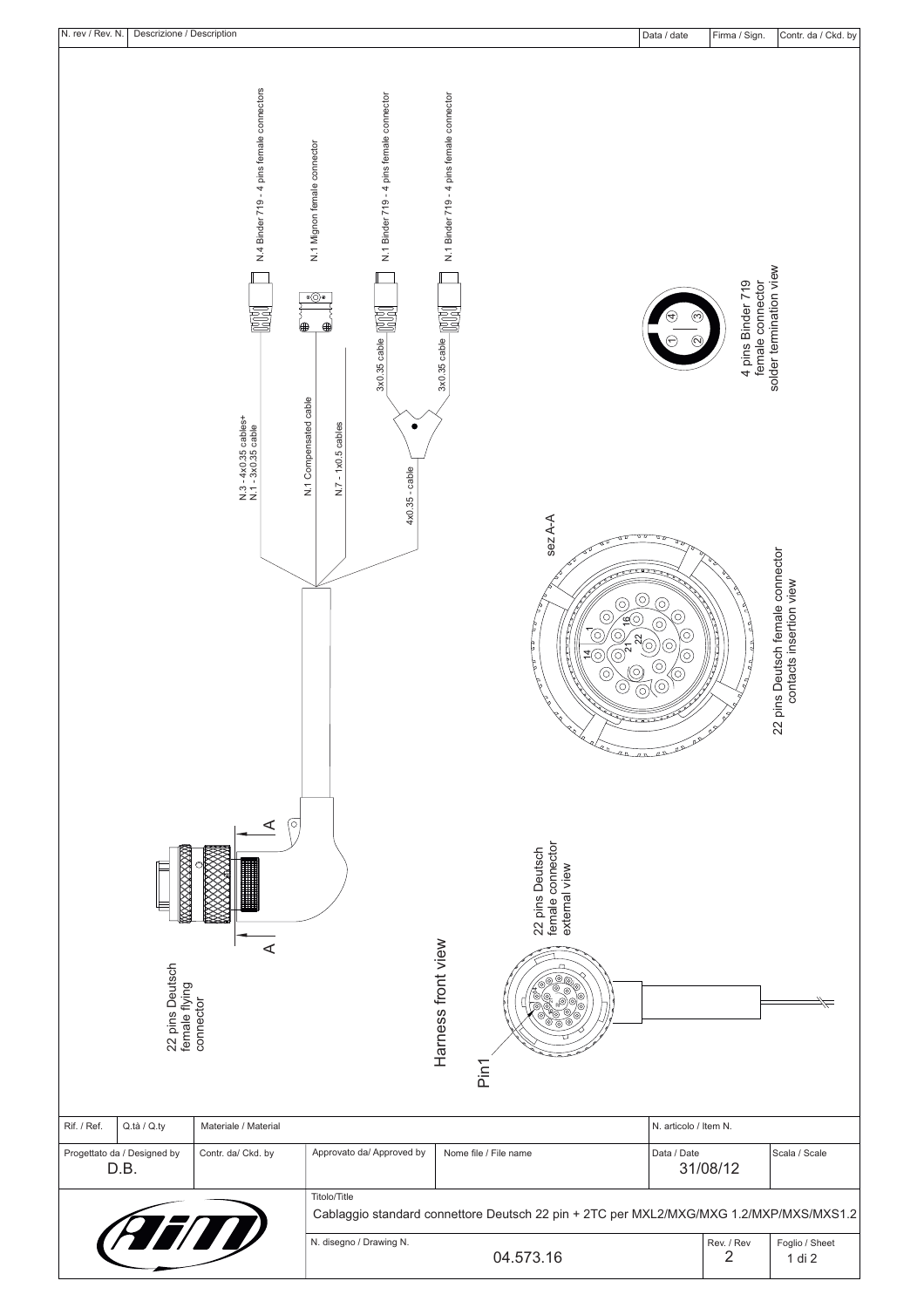